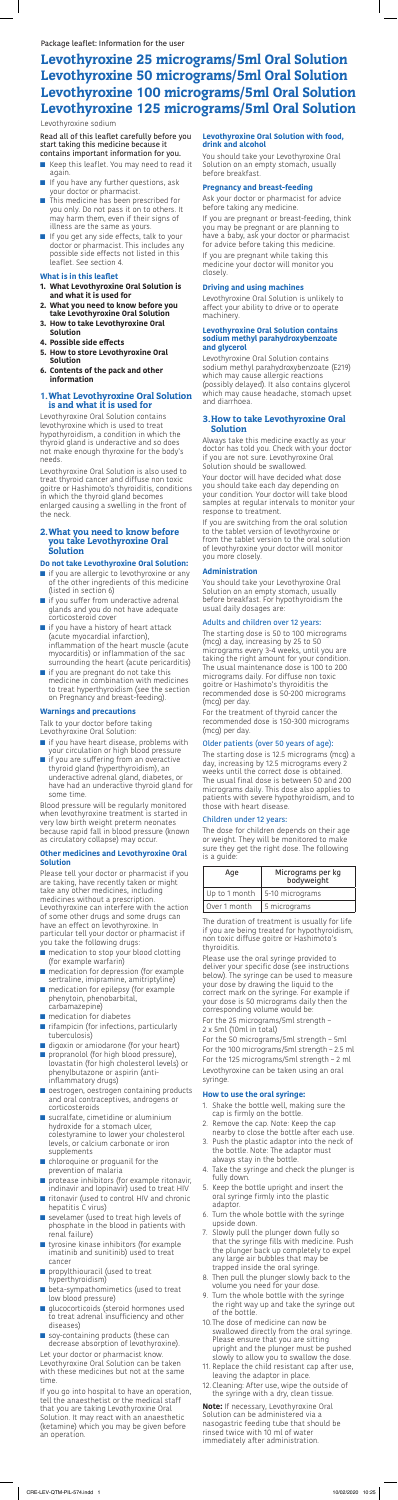Read all of this leaflet carefully before you start taking this medicine because it contains important information for you.

- Keep this leaflet. You may need to read it again.
- If you have any further questions, ask your doctor or pharmacist.
- This medicine has been prescribed for you only. Do not pass it on to others. It may harm them, even if their signs of illness are the same as yours.
- If you get any side effects, talk to your doctor or pharmacist. This includes any possible side effects not listed in this leaflet. See section 4.

#### **What is in this leaflet**

- **1. What Levothyroxine Oral Solution is and what it is used for**
- **2. What you need to know before you take Levothyroxine Oral Solution**
- **3. How to take Levothyroxine Oral Solution**
- **4. Possible side effects**
- **5. How to store Levothyroxine Oral Solution**
- **6. Contents of the pack and other information**

# 1.What Levothyroxine Oral Solution is and what it is used for

- if you are allergic to levothyroxine or any of the other ingredients of this medicine (listed in section 6)
- if you suffer from underactive adrenal glands and you do not have adequate corticosteroid cover
- if you have a history of heart attack (acute myocardial infarction), inflammation of the heart muscle (acute myocarditis) or inflammation of the sac surrounding the heart (acute pericarditis)
- if you are pregnant do not take this medicine in combination with medicines to treat hyperthyroidism (see the section on Pregnancy and breast-feeding).

Levothyroxine Oral Solution contains levothyroxine which is used to treat hypothyroidism, a condition in which the thyroid gland is underactive and so does not make enough thyroxine for the body's needs.

- if you have heart disease, problems with your circulation or high blood pressure ■ if you are suffering from an overactive
- thyroid gland (hyperthyroidism), an underactive adrenal gland, diabetes, or have had an underactive thyroid gland for some time.

Levothyroxine Oral Solution is also used to treat thyroid cancer and diffuse non toxic goitre or Hashimoto's thyroiditis, conditions in which the thyroid gland becomes enlarged causing a swelling in the front of the neck.

# 2.What you need to know before you take Levothyroxine Oral Solution

#### **Do not take Levothyroxine Oral Solution:**

## **Warnings and precautions**

Talk to your doctor before taking Levothyroxine Oral Solution:

- medication to stop your blood clotting (for example warfarin)
- medication for depression (for example sertraline, imipramine, amitriptyline)
- medication for epilepsy (for example phenytoin, phenobarbital, carbamazepine)
- medication for diabetes
- rifampicin (for infections, particularly tuberculosis)
- digoxin or amiodarone (for your heart)
- propranolol (for high blood pressure), lovastatin (for high cholesterol levels) or phenylbutazone or aspirin (antiinflammatory drugs)
- oestrogen, oestrogen containing products and oral contraceptives, androgens or corticosteroids
- sucralfate, cimetidine or aluminium hydroxide for a stomach ulcer, colestyramine to lower your cholesterol levels, or calcium carbonate or iron supplements
- chloroquine or proguanil for the prevention of malaria
- protease inhibitors (for example ritonavir, indinavir and lopinavir) used to treat HIV
- ritonavir (used to control HIV and chronic hepatitis C virus)
- sevelamer (used to treat high levels of phosphate in the blood in patients with renal failure)
- tyrosine kinase inhibitors (for example imatinib and sunitinib) used to treat cancer
- propylthiouracil (used to treat hyperthyroidism)
- beta-sympathomimetics (used to treat low blood pressure)
- glucocorticoids (steroid hormones used to treat adrenal insufficiency and other diseases)
- soy-containing products (these can decrease absorption of levothyroxine).

Blood pressure will be regularly monitored when levothyroxine treatment is started in very low birth weight preterm neonates because rapid fall in blood pressure (known as circulatory collapse) may occur.

## **Other medicines and Levothyroxine Oral Solution**

Please tell your doctor or pharmacist if you are taking, have recently taken or might take any other medicines, including medicines without a prescription. Levothyroxine can interfere with the action of some other drugs and some drugs can have an effect on levothyroxine. In particular tell your doctor or pharmacist if you take the following drugs:

Let your doctor or pharmacist know. Levothyroxine Oral Solution can be taken with these medicines but not at the same time.

If you go into hospital to have an operation, tell the anaesthetist or the medical staff that you are taking Levothyroxine Oral Solution. It may react with an anaesthetic (ketamine) which you may be given before an operation.

# **Levothyroxine Oral Solution with food, drink and alcohol**

You should take your Levothyroxine Oral Solution on an empty stomach, usually before breakfast.

## **Pregnancy and breast-feeding**

Ask your doctor or pharmacist for advice before taking any medicine.

If you are pregnant or breast-feeding, think you may be pregnant or are planning to have a baby, ask your doctor or pharmacist for advice before taking this medicine.

If you are pregnant while taking this medicine your doctor will monitor you closely.

#### **Driving and using machines**

Levothyroxine Oral Solution is unlikely to affect your ability to drive or to operate machinery.

#### **Levothyroxine Oral Solution contains sodium methyl parahydroxybenzoate and glycerol**

Levothyroxine Oral Solution contains sodium methyl parahydroxybenzoate (E219) which may cause allergic reactions (possibly delayed). It also contains glycerol which may cause headache, stomach upset and diarrhoea.

# 3.How to take Levothyroxine Oral Solution

Always take this medicine exactly as your doctor has told you. Check with your doctor if you are not sure. Levothyroxine Oral Solution should be swallowed.

Your doctor will have decided what dose you should take each day depending on your condition. Your doctor will take blood samples at regular intervals to monitor your response to treatment.

If you are switching from the oral solution to the tablet version of levothyroxine or from the tablet version to the oral solution of levothyroxine your doctor will monitor you more closely.

#### **Administration**

You should take your Levothyroxine Oral Solution on an empty stomach, usually before breakfast. For hypothyroidism the usual daily dosages are:

## Adults and children over 12 years:

The starting dose is 50 to 100 micrograms (mcg) a day, increasing by 25 to 50 micrograms every 3-4 weeks, until you are taking the right amount for your condition. The usual maintenance dose is 100 to 200 micrograms daily. For diffuse non toxic goitre or Hashimoto's thyroiditis the recommended dose is 50-200 micrograms (mcg) per day.

For the treatment of thyroid cancer the recommended dose is 150-300 micrograms (mcg) per day.

## Older patients (over 50 years of age):

The starting dose is 12.5 micrograms (mcg) a day, increasing by 12.5 micrograms every 2 weeks until the correct dose is obtained. The usual final dose is between 50 and 200 micrograms daily. This dose also applies to patients with severe hypothyroidism, and to those with heart disease.

# Children under 12 years:

The dose for children depends on their age or weight. They will be monitored to make sure they get the right dose. The following is a guide:

| Age           | Micrograms per kg<br>bodyweight |
|---------------|---------------------------------|
| Up to 1 month | 5-10 micrograms                 |
| Over 1 month  | 5 micrograms                    |

The duration of treatment is usually for life if you are being treated for hypothyroidism, non toxic diffuse goitre or Hashimoto's thyroiditis.

Please use the oral syringe provided to deliver your specific dose (see instructions below). The syringe can be used to measure your dose by drawing the liquid to the correct mark on the syringe. For example if your dose is 50 micrograms daily then the corresponding volume would be:

For the 25 micrograms/5ml strength – 2 x 5ml (10ml in total)

For the 50 micrograms/5ml strength – 5ml For the 100 micrograms/5ml strength – 2.5 ml For the 125 micrograms/5ml strength – 2 ml Levothyroxine can be taken using an oral syringe.

## **How to use the oral syringe:**

- 1. Shake the bottle well, making sure the cap is firmly on the bottle.
- 2. Remove the cap. Note: Keep the cap nearby to close the bottle after each use.
- 3. Push the plastic adaptor into the neck of the bottle. Note: The adaptor must always stay in the bottle.
- 4. Take the syringe and check the plunger is fully down.
- 5. Keep the bottle upright and insert the oral syringe firmly into the plastic adaptor.
- 6. Turn the whole bottle with the syringe upside down.
- 7. Slowly pull the plunger down fully so that the syringe fills with medicine. Push the plunger back up completely to expel any large air bubbles that may be trapped inside the oral syringe.
- 8. Then pull the plunger slowly back to the volume you need for your dose.
- 9. Turn the whole bottle with the syringe the right way up and take the syringe out of the bottle.
- 10.The dose of medicine can now be swallowed directly from the oral syringe. Please ensure that you are sitting upright and the plunger must be pushed slowly to allow you to swallow the dose.
- 11. Replace the child resistant cap after use, leaving the adaptor in place.
- 12. Cleaning: After use, wipe the outside of the syringe with a dry, clean tissue.

**Note:** If necessary, Levothyroxine Oral Solution can be administered via a nasogastric feeding tube that should be rinsed twice with 10 ml of water immediately after administration.

# Levothyroxine 25 micrograms/5ml Oral Solution Levothyroxine 50 micrograms/5ml Oral Solution Levothyroxine 100 micrograms/5ml Oral Solution Levothyroxine 125 micrograms/5ml Oral Solution

Levothyroxine sodium